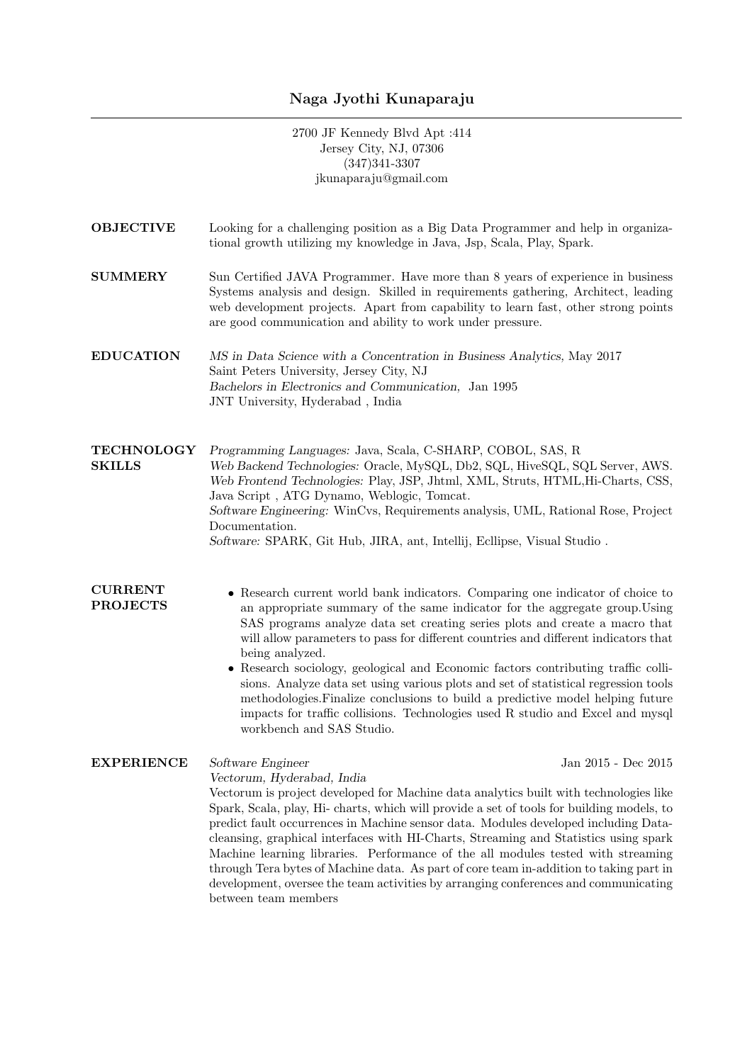# Naga Jyothi Kunaparaju

2700 JF Kennedy Blvd Apt :414 Jersey City, NJ, 07306 (347)341-3307 jkunaparaju@gmail.com

- OBJECTIVE Looking for a challenging position as a Big Data Programmer and help in organizational growth utilizing my knowledge in Java, Jsp, Scala, Play, Spark.
- **SUMMERY** Sun Certified JAVA Programmer. Have more than 8 years of experience in business Systems analysis and design. Skilled in requirements gathering, Architect, leading web development projects. Apart from capability to learn fast, other strong points are good communication and ability to work under pressure.
- EDUCATION MS in Data Science with a Concentration in Business Analytics, May 2017 Saint Peters University, Jersey City, NJ Bachelors in Electronics and Communication, Jan 1995 JNT University, Hyderabad , India

**TECHNOLOGY SKILLS** Programming Languages: Java, Scala, C-SHARP, COBOL, SAS, R Web Backend Technologies: Oracle, MySQL, Db2, SQL, HiveSQL, SQL Server, AWS. Web Frontend Technologies: Play, JSP, Jhtml, XML, Struts, HTML,Hi-Charts, CSS, Java Script , ATG Dynamo, Weblogic, Tomcat. Software Engineering: WinCvs, Requirements analysis, UML, Rational Rose, Project Documentation. Software: SPARK, Git Hub, JIRA, ant, Intellij, Ecllipse, Visual Studio .

## CURRENT PROJECTS

- Research current world bank indicators. Comparing one indicator of choice to an appropriate summary of the same indicator for the aggregate group.Using SAS programs analyze data set creating series plots and create a macro that will allow parameters to pass for different countries and different indicators that being analyzed.
	- Research sociology, geological and Economic factors contributing traffic collisions. Analyze data set using various plots and set of statistical regression tools methodologies.Finalize conclusions to build a predictive model helping future impacts for traffic collisions. Technologies used R studio and Excel and mysql workbench and SAS Studio.

## EXPERIENCE Software Engineer Jan 2015 - Dec 2015

Vectorum, Hyderabad, India

Vectorum is project developed for Machine data analytics built with technologies like Spark, Scala, play, Hi- charts, which will provide a set of tools for building models, to predict fault occurrences in Machine sensor data. Modules developed including Datacleansing, graphical interfaces with HI-Charts, Streaming and Statistics using spark Machine learning libraries. Performance of the all modules tested with streaming through Tera bytes of Machine data. As part of core team in-addition to taking part in development, oversee the team activities by arranging conferences and communicating between team members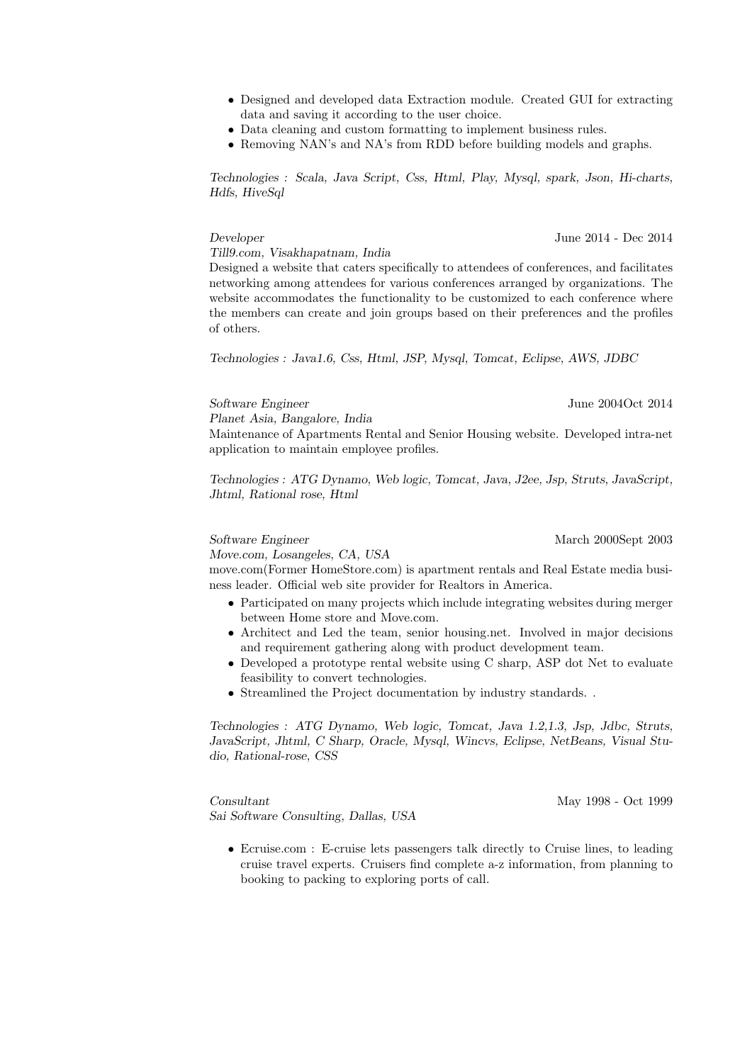- Designed and developed data Extraction module. Created GUI for extracting data and saving it according to the user choice.
- Data cleaning and custom formatting to implement business rules.
- Removing NAN's and NA's from RDD before building models and graphs.

Technologies : Scala, Java Script, Css, Html, Play, Mysql, spark, Json, Hi-charts, Hdfs, HiveSql

### Developer June 2014 - Dec 2014

Till9.com, Visakhapatnam, India

Designed a website that caters specifically to attendees of conferences, and facilitates networking among attendees for various conferences arranged by organizations. The website accommodates the functionality to be customized to each conference where the members can create and join groups based on their preferences and the profiles of others.

Technologies : Java1.6, Css, Html, JSP, Mysql, Tomcat, Eclipse, AWS, JDBC

Software Engineer June 2004Oct 2014

Planet Asia, Bangalore, India

Maintenance of Apartments Rental and Senior Housing website. Developed intra-net application to maintain employee profiles.

Technologies : ATG Dynamo, Web logic, Tomcat, Java, J2ee, Jsp, Struts, JavaScript, Jhtml, Rational rose, Html

Software Engineer March 2000Sept 2003

Move.com, Losangeles, CA, USA

move.com(Former HomeStore.com) is apartment rentals and Real Estate media business leader. Official web site provider for Realtors in America.

- Participated on many projects which include integrating websites during merger between Home store and Move.com.
- Architect and Led the team, senior housing.net. Involved in major decisions and requirement gathering along with product development team.
- Developed a prototype rental website using C sharp, ASP dot Net to evaluate feasibility to convert technologies.
- Streamlined the Project documentation by industry standards. .

Technologies : ATG Dynamo, Web logic, Tomcat, Java 1.2,1.3, Jsp, Jdbc, Struts, JavaScript, Jhtml, C Sharp, Oracle, Mysql, Wincvs, Eclipse, NetBeans, Visual Studio, Rational-rose, CSS

Consultant May 1998 - Oct 1999 Sai Software Consulting, Dallas, USA

• Ecruise.com : E-cruise lets passengers talk directly to Cruise lines, to leading cruise travel experts. Cruisers find complete a-z information, from planning to booking to packing to exploring ports of call.